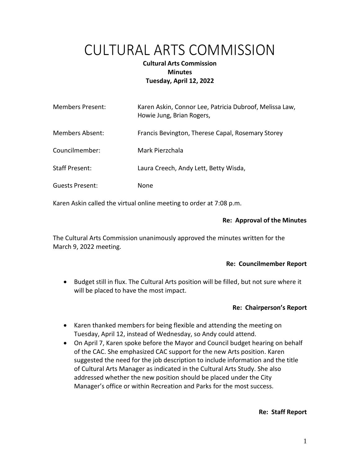# CULTURAL ARTS COMMISSION

# **Cultural Arts Commission Minutes Tuesday, April 12, 2022**

| <b>Members Present:</b> | Karen Askin, Connor Lee, Patricia Dubroof, Melissa Law,<br>Howie Jung, Brian Rogers, |
|-------------------------|--------------------------------------------------------------------------------------|
| Members Absent:         | Francis Bevington, Therese Capal, Rosemary Storey                                    |
| Councilmember:          | Mark Pierzchala                                                                      |
| <b>Staff Present:</b>   | Laura Creech, Andy Lett, Betty Wisda,                                                |
| Guests Present:         | None                                                                                 |

Karen Askin called the virtual online meeting to order at 7:08 p.m.

# **Re: Approval of the Minutes**

The Cultural Arts Commission unanimously approved the minutes written for the March 9, 2022 meeting.

# **Re: Councilmember Report**

• Budget still in flux. The Cultural Arts position will be filled, but not sure where it will be placed to have the most impact.

# **Re: Chairperson's Report**

- Karen thanked members for being flexible and attending the meeting on Tuesday, April 12, instead of Wednesday, so Andy could attend.
- On April 7, Karen spoke before the Mayor and Council budget hearing on behalf of the CAC. She emphasized CAC support for the new Arts position. Karen suggested the need for the job description to include information and the title of Cultural Arts Manager as indicated in the Cultural Arts Study. She also addressed whether the new position should be placed under the City Manager's office or within Recreation and Parks for the most success.

#### **Re: Staff Report**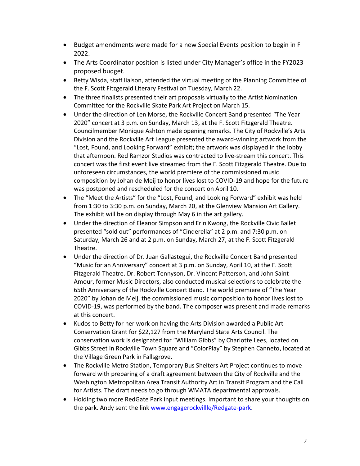- Budget amendments were made for a new Special Events position to begin in F 2022.
- The Arts Coordinator position is listed under City Manager's office in the FY2023 proposed budget.
- Betty Wisda, staff liaison, attended the virtual meeting of the Planning Committee of the F. Scott Fitzgerald Literary Festival on Tuesday, March 22.
- The three finalists presented their art proposals virtually to the Artist Nomination Committee for the Rockville Skate Park Art Project on March 15.
- Under the direction of Len Morse, the Rockville Concert Band presented "The Year 2020" concert at 3 p.m. on Sunday, March 13, at the F. Scott Fitzgerald Theatre. Councilmember Monique Ashton made opening remarks. The City of Rockville's Arts Division and the Rockville Art League presented the award-winning artwork from the "Lost, Found, and Looking Forward" exhibit; the artwork was displayed in the lobby that afternoon. Red Ramzor Studios was contracted to live-stream this concert. This concert was the first event live streamed from the F. Scott Fitzgerald Theatre. Due to unforeseen circumstances, the world premiere of the commissioned music composition by Johan de Meij to honor lives lost to COVID-19 and hope for the future was postponed and rescheduled for the concert on April 10.
- The "Meet the Artists" for the "Lost, Found, and Looking Forward" exhibit was held from 1:30 to 3:30 p.m. on Sunday, March 20, at the Glenview Mansion Art Gallery. The exhibit will be on display through May 6 in the art gallery.
- Under the direction of Eleanor Simpson and Erin Kwong, the Rockville Civic Ballet presented "sold out" performances of "Cinderella" at 2 p.m. and 7:30 p.m. on Saturday, March 26 and at 2 p.m. on Sunday, March 27, at the F. Scott Fitzgerald Theatre.
- Under the direction of Dr. Juan Gallastegui, the Rockville Concert Band presented "Music for an Anniversary" concert at 3 p.m. on Sunday, April 10, at the F. Scott Fitzgerald Theatre. Dr. Robert Tennyson, Dr. Vincent Patterson, and John Saint Amour, former Music Directors, also conducted musical selections to celebrate the 65th Anniversary of the Rockville Concert Band. The world premiere of "The Year 2020" by Johan de Meij, the commissioned music composition to honor lives lost to COVID-19, was performed by the band. The composer was present and made remarks at this concert.
- Kudos to Betty for her work on having the Arts Division awarded a Public Art Conservation Grant for \$22,127 from the Maryland State Arts Council. The conservation work is designated for "William Gibbs" by Charlotte Lees, located on Gibbs Street in Rockville Town Square and "ColorPlay" by Stephen Canneto, located at the Village Green Park in Fallsgrove.
- The Rockville Metro Station, Temporary Bus Shelters Art Project continues to move forward with preparing of a draft agreement between the City of Rockville and the Washington Metropolitan Area Transit Authority Art in Transit Program and the Call for Artists. The draft needs to go through WMATA departmental approvals.
- Holding two more RedGate Park input meetings. Important to share your thoughts on the park. Andy sent the lin[k www.engagerockvillle/Redgate-park.](http://www.engagerockvillle/Redgate-park)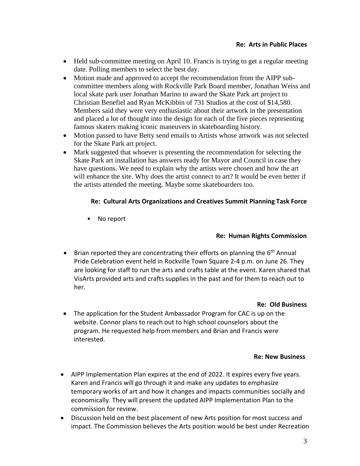- Held sub-committee meeting on April 10. Francis is trying to get a regular meeting date. Polling members to select the best day.
- Motion made and approved to accept the recommendation from the AIPP subcommittee members along with Rockville Park Board member, Jonathan Weiss and local skate park user Jonathan Marino to award the Skate Park art project to Christian Benefiel and Ryan McKibbin of 731 Studios at the cost of \$14,580. Members said they were very enthusiastic about their artwork in the presentation and placed a lot of thought into the design for each of the five pieces representing famous skaters making iconic maneuvers in skateboarding history.
- Motion passed to have Betty send emails to Artists whose artwork was not selected for the Skate Park art project.
- Mark suggested that whoever is presenting the recommendation for selecting the Skate Park art installation has answers ready for Mayor and Council in case they have questions. We need to explain why the artists were chosen and how the art will enhance the site. Why does the artist connect to art? It would be even better if the artists attended the meeting. Maybe some skateboarders too.

# **Re: Cultural Arts Organizations and Creatives Summit Planning Task Force**

• No report

# **Re: Human Rights Commission**

• Brian reported they are concentrating their efforts on planning the 6<sup>th</sup> Annual Pride Celebration event held in Rockville Town Square 2-4 p.m. on June 26. They are looking for staff to run the arts and crafts table at the event. Karen shared that VisArts provided arts and crafts supplies in the past and for them to reach out to her.

#### **Re: Old Business**

• The application for the Student Ambassador Program for CAC is up on the website. Connor plans to reach out to high school counselors about the program. He requested help from members and Brian and Francis were interested.

#### **Re: New Business**

- AIPP Implementation Plan expires at the end of 2022. It expires every five years. Karen and Francis will go through it and make any updates to emphasize temporary works of art and how it changes and impacts communities socially and economically. They will present the updated AIPP Implementation Plan to the commission for review.
- Discussion held on the best placement of new Arts position for most success and impact. The Commission believes the Arts position would be best under Recreation